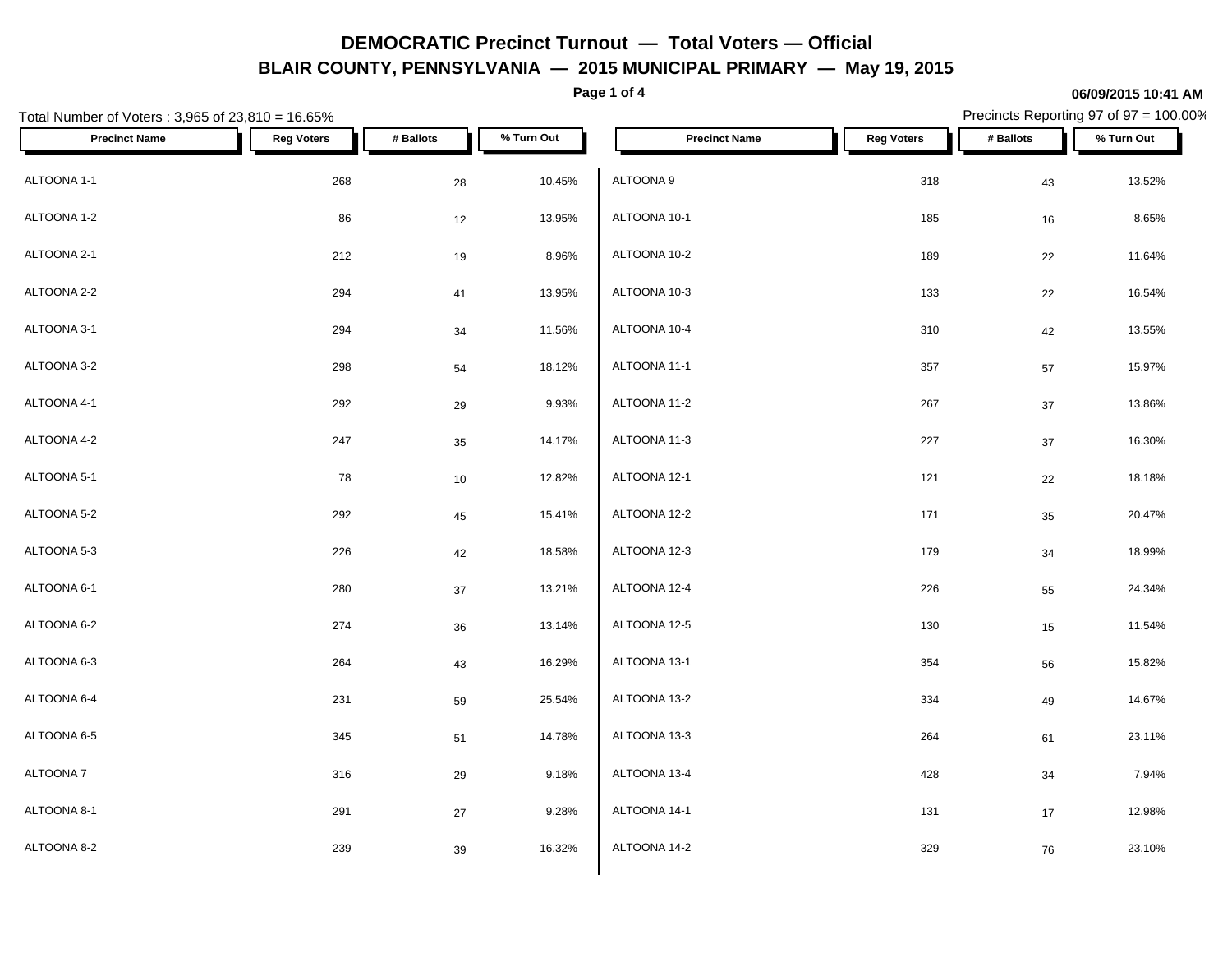**Page 1 of 4**

### **06/09/2015 10:41 AM**

| Total Number of Voters: 3,965 of 23,810 = 16.65% |                   |           |            |                      |                   | Precincts Reporting 97 of 97 = 100.00% |            |
|--------------------------------------------------|-------------------|-----------|------------|----------------------|-------------------|----------------------------------------|------------|
| <b>Precinct Name</b>                             | <b>Reg Voters</b> | # Ballots | % Turn Out | <b>Precinct Name</b> | <b>Reg Voters</b> | # Ballots                              | % Turn Out |
| ALTOONA 1-1                                      | 268               | 28        | 10.45%     | ALTOONA 9            | 318               | 43                                     | 13.52%     |
| ALTOONA 1-2                                      | $86\,$            | 12        | 13.95%     | ALTOONA 10-1         | 185               | 16                                     | 8.65%      |
| ALTOONA 2-1                                      | 212               | $19$      | 8.96%      | ALTOONA 10-2         | 189               | $22\,$                                 | 11.64%     |
| ALTOONA 2-2                                      | 294               | 41        | 13.95%     | ALTOONA 10-3         | 133               | 22                                     | 16.54%     |
| ALTOONA 3-1                                      | 294               | $34\,$    | 11.56%     | ALTOONA 10-4         | 310               | 42                                     | 13.55%     |
| ALTOONA 3-2                                      | 298               | 54        | 18.12%     | ALTOONA 11-1         | 357               | 57                                     | 15.97%     |
| ALTOONA 4-1                                      | 292               | 29        | 9.93%      | ALTOONA 11-2         | 267               | 37                                     | 13.86%     |
| ALTOONA 4-2                                      | 247               | 35        | 14.17%     | ALTOONA 11-3         | 227               | $37\,$                                 | 16.30%     |
| ALTOONA 5-1                                      | 78                | 10        | 12.82%     | ALTOONA 12-1         | 121               | 22                                     | 18.18%     |
| ALTOONA 5-2                                      | 292               | 45        | 15.41%     | ALTOONA 12-2         | 171               | 35                                     | 20.47%     |
| ALTOONA 5-3                                      | 226               | 42        | 18.58%     | ALTOONA 12-3         | 179               | $34\,$                                 | 18.99%     |
| ALTOONA 6-1                                      | 280               | $37\,$    | 13.21%     | ALTOONA 12-4         | 226               | 55                                     | 24.34%     |
| ALTOONA 6-2                                      | 274               | $36\,$    | 13.14%     | ALTOONA 12-5         | 130               | 15                                     | 11.54%     |
| ALTOONA 6-3                                      | 264               | 43        | 16.29%     | ALTOONA 13-1         | 354               | 56                                     | 15.82%     |
| ALTOONA 6-4                                      | 231               | 59        | 25.54%     | ALTOONA 13-2         | 334               | 49                                     | 14.67%     |
| ALTOONA 6-5                                      | 345               | 51        | 14.78%     | ALTOONA 13-3         | 264               | 61                                     | 23.11%     |
| ALTOONA 7                                        | 316               | 29        | 9.18%      | ALTOONA 13-4         | 428               | 34                                     | 7.94%      |
| ALTOONA 8-1                                      | 291               | $27\,$    | 9.28%      | ALTOONA 14-1         | 131               | 17                                     | 12.98%     |
| ALTOONA 8-2                                      | 239               | 39        | 16.32%     | ALTOONA 14-2         | 329               | 76                                     | 23.10%     |
|                                                  |                   |           |            |                      |                   |                                        |            |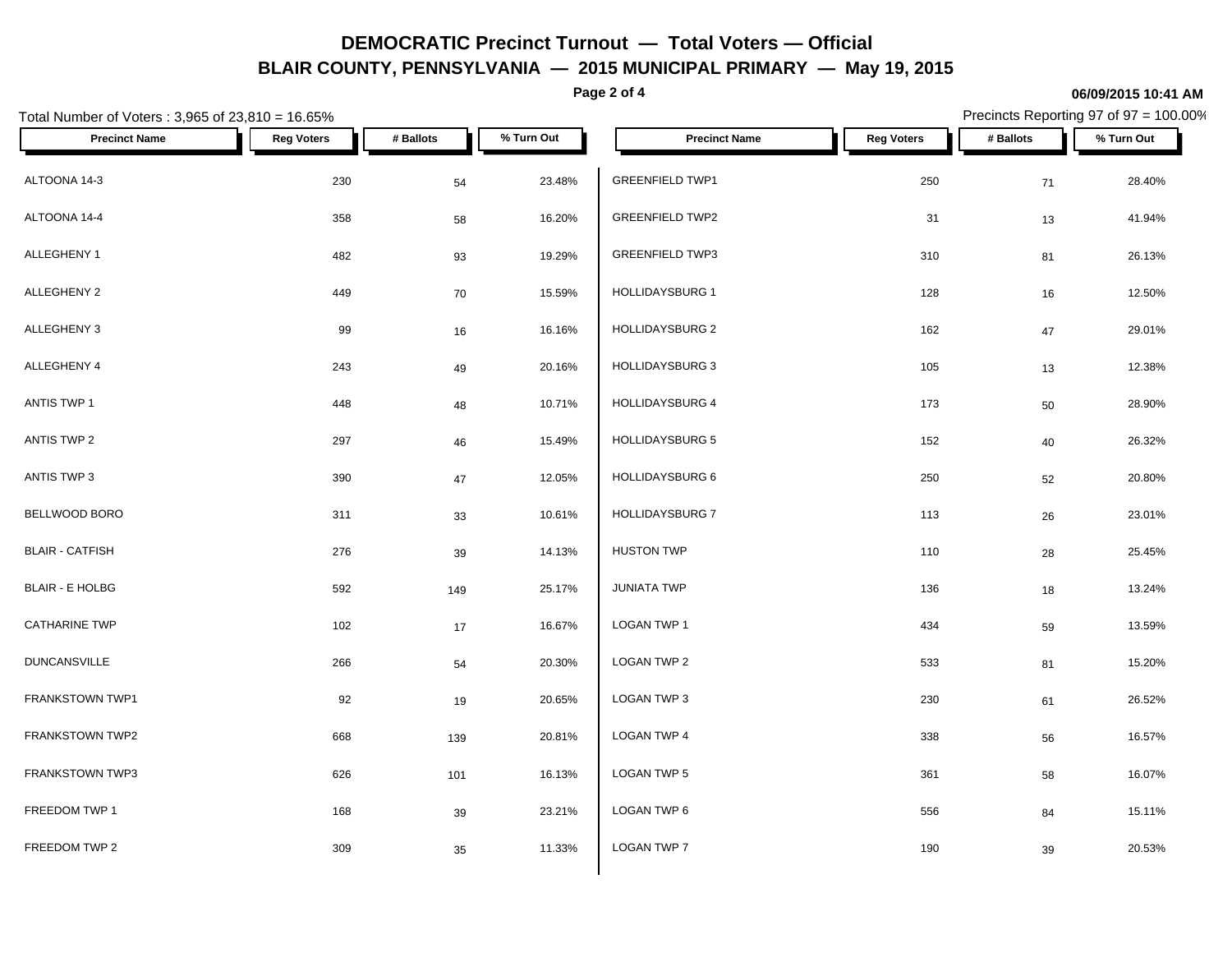**Page 2 of 4**

## Total Number of Voters : 3,965 of 23,810 = 16.65% Precincts Reporting 97 of 97 = 100.00% **Precinct Name Reg Voters # Ballots % Turn Out Precinct Name Reg Voters # Ballots % Turn Out** ALTOONA 14-3 230 23.48% GREENFIELD TWP1 250 28.40% ALTOONA 14-4 358 16.20% GREENFIELD TWP2 31 41.94% ALLEGHENY 1 482 93 19.29% ALLEGHENY 2 449 70 15.59% ALLEGHENY 3 99 16 16.16% HOLLIDAYSBURG 2 162 29.01% ALLEGHENY 4 243 49 20.16% HOLLIDAYSBURG 3 ANTIS TWP 1 448 448 448 448 448 448 10.71% HOLLIDAYSBURG 4 ANTIS TWP 2  $297$   $46$   $15.49\%$   $HOLIDAYSBURG 5$ ANTIS TWP 3 390 47 12.05% BELLWOOD BORO 311 33 10.61% BLAIR - CATFISH 276 39 14.13% BLAIR - E HOLBG 592 149 25.17%  $\textsf{CATHARINE TWP}$  102 17 16.67% LOGAN TWP 1 DUNCANSVILLE  $266$   $54$   $20.30\%$  LOGAN TWP 2 FRANKSTOWN TWP1 92 92 19 20.65% LOGAN TWP 3 FRANKSTOWN TWP2 668 68 139 20.81% LOGAN TWP 4 FRANKSTOWN TWP3 **626** 626 101 16.13% LOGAN TWP 5 FREEDOM TWP 1  $168$   $39$   $23.21\%$   $\blacksquare$  LOGAN TWP 6 FREEDOM TWP 2  $309$   $35$   $11.33\%$   $LOGAN TWP 7$ GREENFIELD TWP3 310 81 26.13%  $HOLLIDAYSBURG 1$  128  $16$  16  $12.50\%$ HOLLIDAYSBURG 3 105 105 13 12.38% HOLLIDAYSBURG 4 173 50 28.90%  $HOLLIDAYSBURG 5$  152  $40$  26.32% HOLLIDAYSBURG 6 250 52 20.80% HOLLIDAYSBURG 7 113 26 23.01% HUSTON TWP 110 28 25.45%  $JUNIATA TWP$  13.24%  $\textsf{\small LOGAN\,TWP\,1}\qquad \qquad 434\qquad \qquad 59\qquad \qquad 13.59\%$  $\,$  LOGAN TWP 2  $\,$  533  $\,$  81  $\,$  15.20%  $\,$ LOGAN TWP 3 230 61 26.52%  $\,$  LOGAN TWP 4  $\,$  338  $\,$  56  $\,$  16.57%  $\,$  $\textsf{\small LOGAN\,TWP\,5}\qquad \qquad 361\qquad \qquad 58\qquad \qquad 16.07\%$ LOGAN TWP 6 556 84 15.11% LOGAN TWP 7 20.53% 20.53%

#### **06/09/2015 10:41 AM**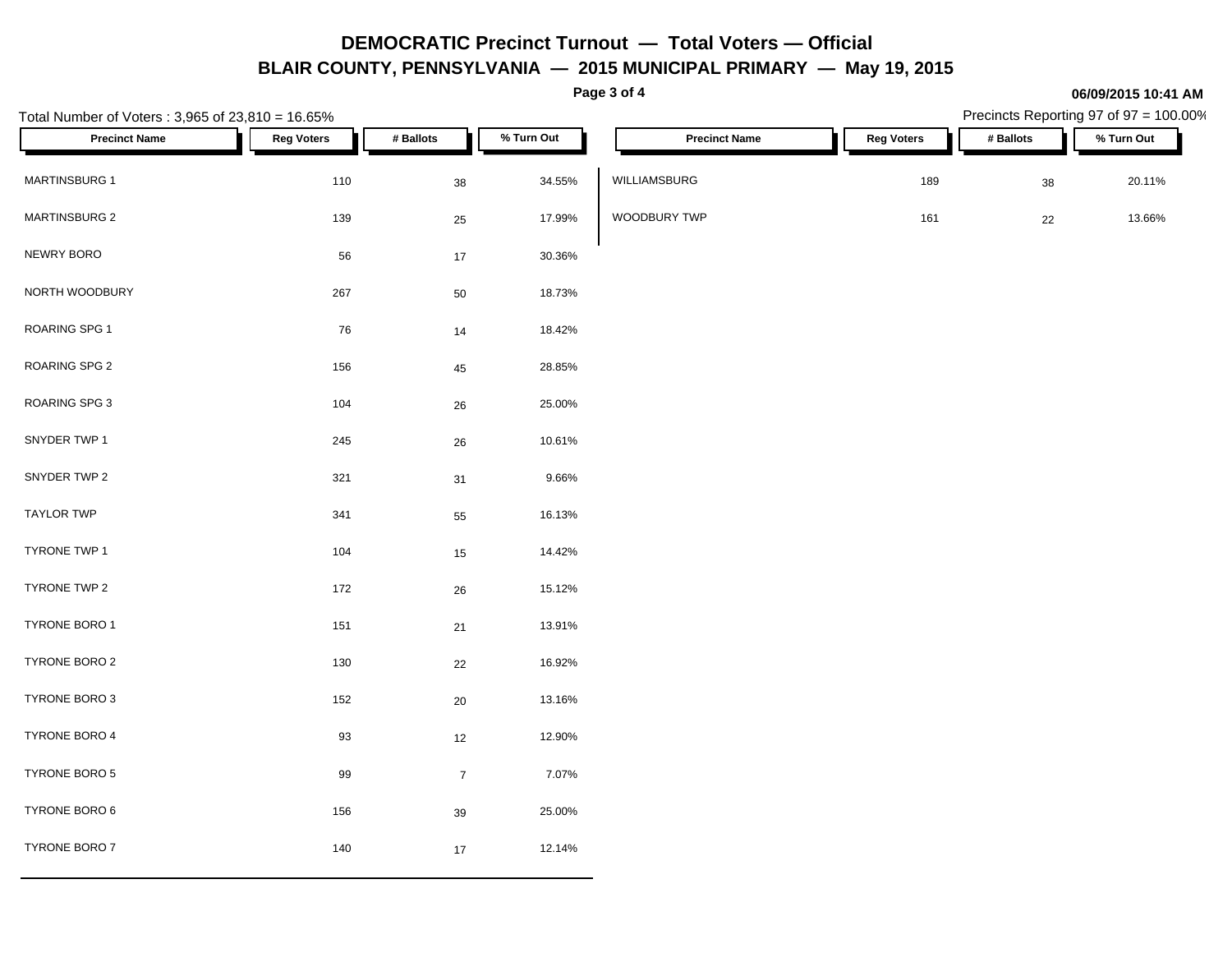**Page 3 of 4**

**06/09/2015 10:41 AM**

| Total Number of Voters: 3,965 of 23,810 = 16.65% |                   |                |            |                      | Precincts Reporting 97 of 97 = 100.00% |           |            |  |  |
|--------------------------------------------------|-------------------|----------------|------------|----------------------|----------------------------------------|-----------|------------|--|--|
| <b>Precinct Name</b>                             | <b>Reg Voters</b> | # Ballots      | % Turn Out | <b>Precinct Name</b> | <b>Reg Voters</b>                      | # Ballots | % Turn Out |  |  |
| MARTINSBURG 1                                    | 110               | 38             | 34.55%     | WILLIAMSBURG         | 189                                    | 38        | 20.11%     |  |  |
| MARTINSBURG 2                                    | 139               | 25             | 17.99%     | WOODBURY TWP         | 161                                    | $22\,$    | 13.66%     |  |  |
| NEWRY BORO                                       | 56                | $17\,$         | 30.36%     |                      |                                        |           |            |  |  |
| NORTH WOODBURY                                   | 267               | $50\,$         | 18.73%     |                      |                                        |           |            |  |  |
| ROARING SPG 1                                    | 76                | $14$           | 18.42%     |                      |                                        |           |            |  |  |
| ROARING SPG 2                                    | 156               | $\bf 45$       | 28.85%     |                      |                                        |           |            |  |  |
| ROARING SPG 3                                    | 104               | 26             | 25.00%     |                      |                                        |           |            |  |  |
| SNYDER TWP 1                                     | 245               | ${\bf 26}$     | 10.61%     |                      |                                        |           |            |  |  |
| SNYDER TWP 2                                     | 321               | 31             | 9.66%      |                      |                                        |           |            |  |  |
| <b>TAYLOR TWP</b>                                | 341               | 55             | 16.13%     |                      |                                        |           |            |  |  |
| TYRONE TWP 1                                     | 104               | $15\,$         | 14.42%     |                      |                                        |           |            |  |  |
| TYRONE TWP 2                                     | 172               | 26             | 15.12%     |                      |                                        |           |            |  |  |
| TYRONE BORO 1                                    | 151               | $21\,$         | 13.91%     |                      |                                        |           |            |  |  |
| TYRONE BORO 2                                    | $130\,$           | 22             | 16.92%     |                      |                                        |           |            |  |  |
| TYRONE BORO 3                                    | 152               | 20             | 13.16%     |                      |                                        |           |            |  |  |
| TYRONE BORO 4                                    | 93                | 12             | 12.90%     |                      |                                        |           |            |  |  |
| TYRONE BORO 5                                    | 99                | $\overline{7}$ | 7.07%      |                      |                                        |           |            |  |  |
| TYRONE BORO 6                                    | 156               | $39\,$         | 25.00%     |                      |                                        |           |            |  |  |
| TYRONE BORO 7                                    | $140\,$           | $17\,$         | 12.14%     |                      |                                        |           |            |  |  |